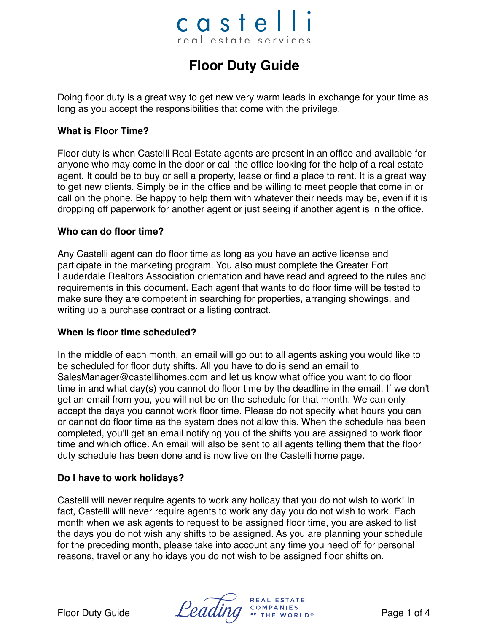# castel real estate services

## **Floor Duty Guide**

Doing floor duty is a great way to get new very warm leads in exchange for your time as long as you accept the responsibilities that come with the privilege.

## **What is Floor Time?**

Floor duty is when Castelli Real Estate agents are present in an office and available for anyone who may come in the door or call the office looking for the help of a real estate agent. It could be to buy or sell a property, lease or find a place to rent. It is a great way to get new clients. Simply be in the office and be willing to meet people that come in or call on the phone. Be happy to help them with whatever their needs may be, even if it is dropping off paperwork for another agent or just seeing if another agent is in the office.

## **Who can do floor time?**

Any Castelli agent can do floor time as long as you have an active license and participate in the marketing program. You also must complete the Greater Fort Lauderdale Realtors Association orientation and have read and agreed to the rules and requirements in this document. Each agent that wants to do floor time will be tested to make sure they are competent in searching for properties, arranging showings, and writing up a purchase contract or a listing contract.

## **When is floor time scheduled?**

In the middle of each month, an email will go out to all agents asking you would like to be scheduled for floor duty shifts. All you have to do is send an email to SalesManager@castellihomes.com and let us know what office you want to do floor time in and what day(s) you cannot do floor time by the deadline in the email. If we don't get an email from you, you will not be on the schedule for that month. We can only accept the days you cannot work floor time. Please do not specify what hours you can or cannot do floor time as the system does not allow this. When the schedule has been completed, you'll get an email notifying you of the shifts you are assigned to work floor time and which office. An email will also be sent to all agents telling them that the floor duty schedule has been done and is now live on the Castelli home page.

## **Do I have to work holidays?**

Castelli will never require agents to work any holiday that you do not wish to work! In fact, Castelli will never require agents to work any day you do not wish to work. Each month when we ask agents to request to be assigned floor time, you are asked to list the days you do not wish any shifts to be assigned. As you are planning your schedule for the preceding month, please take into account any time you need off for personal reasons, travel or any holidays you do not wish to be assigned floor shifts on.

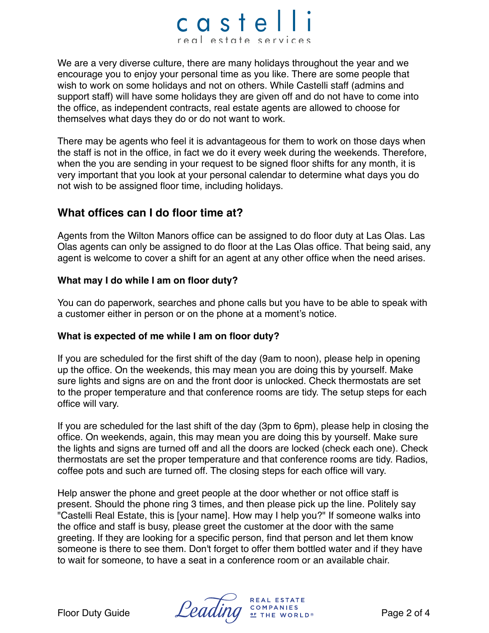## castel real estate services

We are a very diverse culture, there are many holidays throughout the year and we encourage you to enjoy your personal time as you like. There are some people that wish to work on some holidays and not on others. While Castelli staff (admins and support staff) will have some holidays they are given off and do not have to come into the office, as independent contracts, real estate agents are allowed to choose for themselves what days they do or do not want to work.

There may be agents who feel it is advantageous for them to work on those days when the staff is not in the office, in fact we do it every week during the weekends. Therefore, when the you are sending in your request to be signed floor shifts for any month, it is very important that you look at your personal calendar to determine what days you do not wish to be assigned floor time, including holidays.

## **What offices can I do floor time at?**

Agents from the Wilton Manors office can be assigned to do floor duty at Las Olas. Las Olas agents can only be assigned to do floor at the Las Olas office. That being said, any agent is welcome to cover a shift for an agent at any other office when the need arises.

## **What may I do while I am on floor duty?**

You can do paperwork, searches and phone calls but you have to be able to speak with a customer either in person or on the phone at a moment's notice.

## **What is expected of me while I am on floor duty?**

If you are scheduled for the first shift of the day (9am to noon), please help in opening up the office. On the weekends, this may mean you are doing this by yourself. Make sure lights and signs are on and the front door is unlocked. Check thermostats are set to the proper temperature and that conference rooms are tidy. The setup steps for each office will vary.

If you are scheduled for the last shift of the day (3pm to 6pm), please help in closing the office. On weekends, again, this may mean you are doing this by yourself. Make sure the lights and signs are turned off and all the doors are locked (check each one). Check thermostats are set the proper temperature and that conference rooms are tidy. Radios, coffee pots and such are turned off. The closing steps for each office will vary.

Help answer the phone and greet people at the door whether or not office staff is present. Should the phone ring 3 times, and then please pick up the line. Politely say "Castelli Real Estate, this is [your name]. How may I help you?" If someone walks into the office and staff is busy, please greet the customer at the door with the same greeting. If they are looking for a specific person, find that person and let them know someone is there to see them. Don't forget to offer them bottled water and if they have to wait for someone, to have a seat in a conference room or an available chair.

REAL ESTATE Floor Duty Guide  $\mathcal{L}e^{i\theta}$   $\mathcal{L}e^{i\theta}$   $\mathcal{L}e^{i\theta}$   $\mathcal{L}e^{i\theta}$   $\mathcal{L}e^{i\theta}$   $\mathcal{L}e^{i\theta}$   $\mathcal{L}e^{i\theta}$   $\mathcal{L}e^{i\theta}$   $\mathcal{L}e^{i\theta}$   $\mathcal{L}e^{i\theta}$   $\mathcal{L}e^{i\theta}$   $\mathcal{L}e^{i\theta}$   $\mathcal{L}e^{i\theta}$   $\mathcal{L}e^{$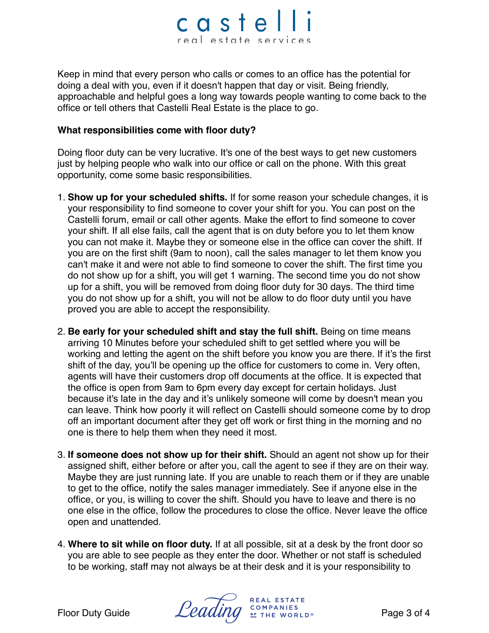## castelli real estate services

Keep in mind that every person who calls or comes to an office has the potential for doing a deal with you, even if it doesn't happen that day or visit. Being friendly, approachable and helpful goes a long way towards people wanting to come back to the office or tell others that Castelli Real Estate is the place to go.

### **What responsibilities come with floor duty?**

Doing floor duty can be very lucrative. It's one of the best ways to get new customers just by helping people who walk into our office or call on the phone. With this great opportunity, come some basic responsibilities.

- 1. **Show up for your scheduled shifts.** If for some reason your schedule changes, it is your responsibility to find someone to cover your shift for you. You can post on the Castelli forum, email or call other agents. Make the effort to find someone to cover your shift. If all else fails, call the agent that is on duty before you to let them know you can not make it. Maybe they or someone else in the office can cover the shift. If you are on the first shift (9am to noon), call the sales manager to let them know you can't make it and were not able to find someone to cover the shift. The first time you do not show up for a shift, you will get 1 warning. The second time you do not show up for a shift, you will be removed from doing floor duty for 30 days. The third time you do not show up for a shift, you will not be allow to do floor duty until you have proved you are able to accept the responsibility.
- 2. **Be early for your scheduled shift and stay the full shift.** Being on time means arriving 10 Minutes before your scheduled shift to get settled where you will be working and letting the agent on the shift before you know you are there. If it's the first shift of the day, you'll be opening up the office for customers to come in. Very often, agents will have their customers drop off documents at the office. It is expected that the office is open from 9am to 6pm every day except for certain holidays. Just because it's late in the day and it's unlikely someone will come by doesn't mean you can leave. Think how poorly it will reflect on Castelli should someone come by to drop off an important document after they get off work or first thing in the morning and no one is there to help them when they need it most.
- 3. **If someone does not show up for their shift.** Should an agent not show up for their assigned shift, either before or after you, call the agent to see if they are on their way. Maybe they are just running late. If you are unable to reach them or if they are unable to get to the office, notify the sales manager immediately. See if anyone else in the office, or you, is willing to cover the shift. Should you have to leave and there is no one else in the office, follow the procedures to close the office. Never leave the office open and unattended.
- 4. **Where to sit while on floor duty.** If at all possible, sit at a desk by the front door so you are able to see people as they enter the door. Whether or not staff is scheduled to be working, staff may not always be at their desk and it is your responsibility to